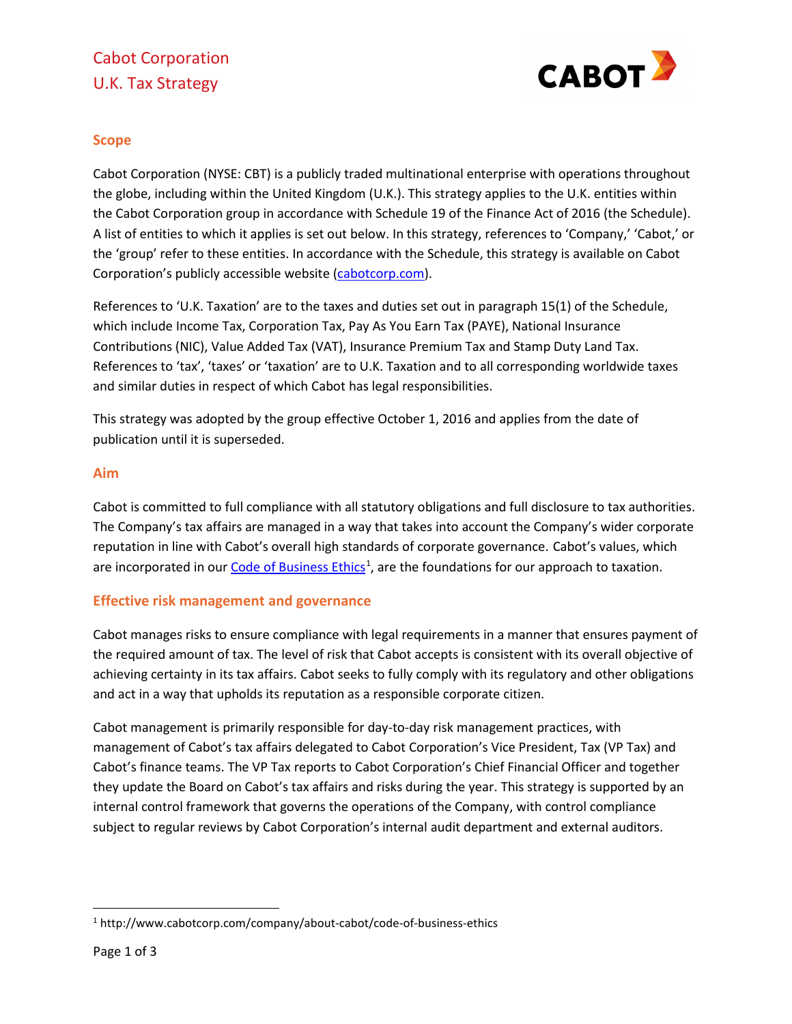# Cabot Corporation U.K. Tax Strategy



## **Scope**

Cabot Corporation (NYSE: CBT) is a publicly traded multinational enterprise with operations throughout the globe, including within the United Kingdom (U.K.). This strategy applies to the U.K. entities within the Cabot Corporation group in accordance with Schedule 19 of the Finance Act of 2016 (the Schedule). A list of entities to which it applies is set out below. In this strategy, references to 'Company,' 'Cabot,' or the 'group' refer to these entities. In accordance with the Schedule, this strategy is available on Cabot Corporation's publicly accessible website [\(cabotcorp.com\)](http://www.cabotcorp.com/).

References to 'U.K. Taxation' are to the taxes and duties set out in paragraph 15(1) of the Schedule, which include Income Tax, Corporation Tax, Pay As You Earn Tax (PAYE), National Insurance Contributions (NIC), Value Added Tax (VAT), Insurance Premium Tax and Stamp Duty Land Tax. References to 'tax', 'taxes' or 'taxation' are to U.K. Taxation and to all corresponding worldwide taxes and similar duties in respect of which Cabot has legal responsibilities.

This strategy was adopted by the group effective October 1, 2016 and applies from the date of publication until it is superseded.

### **Aim**

Cabot is committed to full compliance with all statutory obligations and full disclosure to tax authorities. The Company's tax affairs are managed in a way that takes into account the Company's wider corporate reputation in line with Cabot's overall high standards of corporate governance. Cabot's values, which are incorporated in ou[r Code of Business](http://www.cabotcorp.com/company/about-cabot/code-of-business-ethics) Ethics<sup>[1](#page-0-0)</sup>, are the foundations for our approach to taxation.

### **Effective risk management and governance**

Cabot manages risks to ensure compliance with legal requirements in a manner that ensures payment of the required amount of tax. The level of risk that Cabot accepts is consistent with its overall objective of achieving certainty in its tax affairs. Cabot seeks to fully comply with its regulatory and other obligations and act in a way that upholds its reputation as a responsible corporate citizen.

Cabot management is primarily responsible for day-to-day risk management practices, with management of Cabot's tax affairs delegated to Cabot Corporation's Vice President, Tax (VP Tax) and Cabot's finance teams. The VP Tax reports to Cabot Corporation's Chief Financial Officer and together they update the Board on Cabot's tax affairs and risks during the year. This strategy is supported by an internal control framework that governs the operations of the Company, with control compliance subject to regular reviews by Cabot Corporation's internal audit department and external auditors.

<span id="page-0-0"></span><sup>1</sup> http://www.cabotcorp.com/company/about-cabot/code-of-business-ethics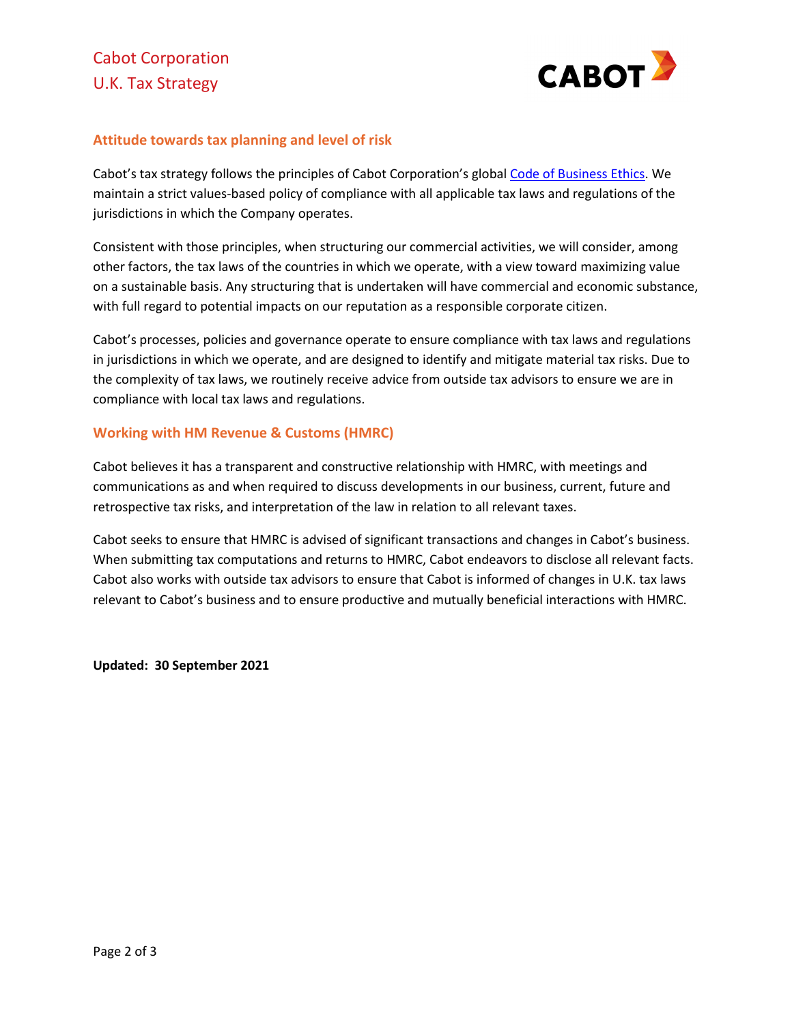

### **Attitude towards tax planning and level of risk**

Cabot's tax strategy follows the principles of Cabot Corporation's globa[l Code of Business Ethics.](http://www.cabotcorp.com/company/about-cabot/code-of-business-ethics) We maintain a strict values-based policy of compliance with all applicable tax laws and regulations of the jurisdictions in which the Company operates.

Consistent with those principles, when structuring our commercial activities, we will consider, among other factors, the tax laws of the countries in which we operate, with a view toward maximizing value on a sustainable basis. Any structuring that is undertaken will have commercial and economic substance, with full regard to potential impacts on our reputation as a responsible corporate citizen.

Cabot's processes, policies and governance operate to ensure compliance with tax laws and regulations in jurisdictions in which we operate, and are designed to identify and mitigate material tax risks. Due to the complexity of tax laws, we routinely receive advice from outside tax advisors to ensure we are in compliance with local tax laws and regulations.

#### **Working with HM Revenue & Customs (HMRC)**

Cabot believes it has a transparent and constructive relationship with HMRC, with meetings and communications as and when required to discuss developments in our business, current, future and retrospective tax risks, and interpretation of the law in relation to all relevant taxes.

Cabot seeks to ensure that HMRC is advised of significant transactions and changes in Cabot's business. When submitting tax computations and returns to HMRC, Cabot endeavors to disclose all relevant facts. Cabot also works with outside tax advisors to ensure that Cabot is informed of changes in U.K. tax laws relevant to Cabot's business and to ensure productive and mutually beneficial interactions with HMRC.

**Updated: 30 September 2021**